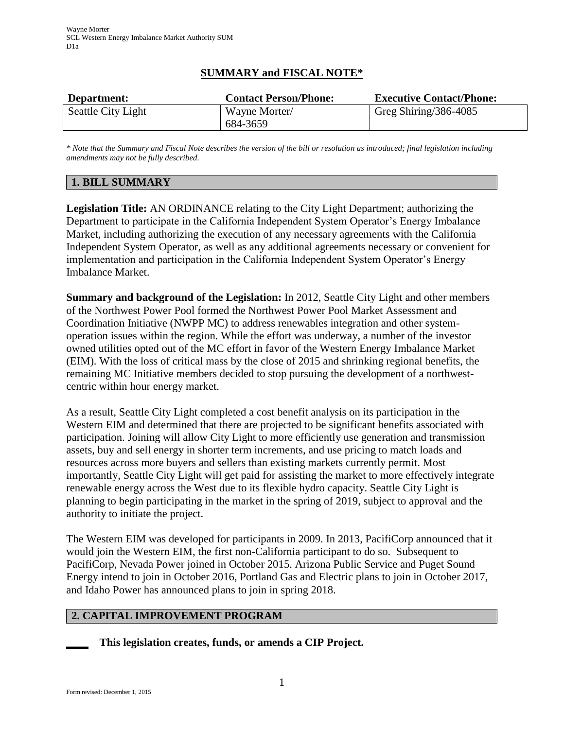# **SUMMARY and FISCAL NOTE\***

| Department:        | <b>Contact Person/Phone:</b> | <b>Executive Contact/Phone:</b> |
|--------------------|------------------------------|---------------------------------|
| Seattle City Light | Wayne Morter/<br>684-3659    | Greg Shiring/386-4085           |

*\* Note that the Summary and Fiscal Note describes the version of the bill or resolution as introduced; final legislation including amendments may not be fully described.*

## **1. BILL SUMMARY**

**Legislation Title:** AN ORDINANCE relating to the City Light Department; authorizing the Department to participate in the California Independent System Operator's Energy Imbalance Market, including authorizing the execution of any necessary agreements with the California Independent System Operator, as well as any additional agreements necessary or convenient for implementation and participation in the California Independent System Operator's Energy Imbalance Market.

**Summary and background of the Legislation:** In 2012, Seattle City Light and other members of the Northwest Power Pool formed the Northwest Power Pool Market Assessment and Coordination Initiative (NWPP MC) to address renewables integration and other systemoperation issues within the region. While the effort was underway, a number of the investor owned utilities opted out of the MC effort in favor of the Western Energy Imbalance Market (EIM). With the loss of critical mass by the close of 2015 and shrinking regional benefits, the remaining MC Initiative members decided to stop pursuing the development of a northwestcentric within hour energy market.

As a result, Seattle City Light completed a cost benefit analysis on its participation in the Western EIM and determined that there are projected to be significant benefits associated with participation. Joining will allow City Light to more efficiently use generation and transmission assets, buy and sell energy in shorter term increments, and use pricing to match loads and resources across more buyers and sellers than existing markets currently permit. Most importantly, Seattle City Light will get paid for assisting the market to more effectively integrate renewable energy across the West due to its flexible hydro capacity. Seattle City Light is planning to begin participating in the market in the spring of 2019, subject to approval and the authority to initiate the project.

The Western EIM was developed for participants in 2009. In 2013, PacifiCorp announced that it would join the Western EIM, the first non-California participant to do so. Subsequent to PacifiCorp, Nevada Power joined in October 2015. Arizona Public Service and Puget Sound Energy intend to join in October 2016, Portland Gas and Electric plans to join in October 2017, and Idaho Power has announced plans to join in spring 2018.

### **2. CAPITAL IMPROVEMENT PROGRAM**

**\_\_\_\_ This legislation creates, funds, or amends a CIP Project.**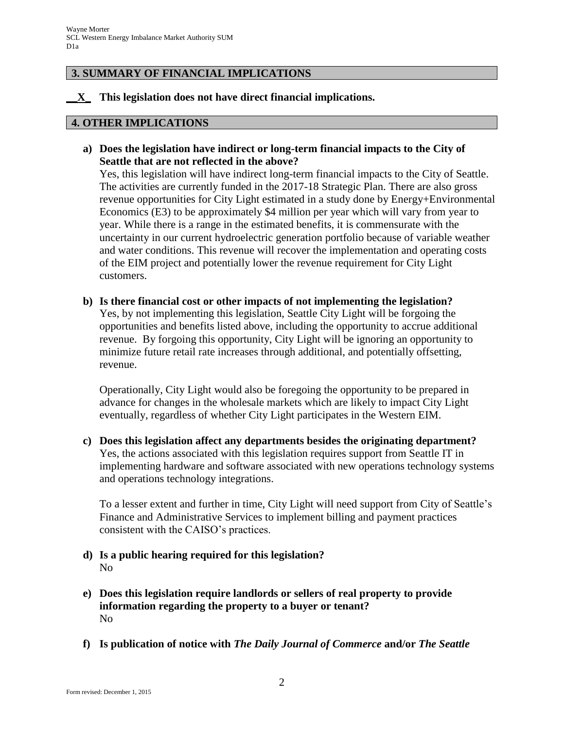## **3. SUMMARY OF FINANCIAL IMPLICATIONS**

## **\_\_X\_ This legislation does not have direct financial implications.**

#### **4. OTHER IMPLICATIONS**

**a) Does the legislation have indirect or long-term financial impacts to the City of Seattle that are not reflected in the above?**

Yes, this legislation will have indirect long-term financial impacts to the City of Seattle. The activities are currently funded in the 2017-18 Strategic Plan. There are also gross revenue opportunities for City Light estimated in a study done by Energy+Environmental Economics (E3) to be approximately \$4 million per year which will vary from year to year. While there is a range in the estimated benefits, it is commensurate with the uncertainty in our current hydroelectric generation portfolio because of variable weather and water conditions. This revenue will recover the implementation and operating costs of the EIM project and potentially lower the revenue requirement for City Light customers.

**b) Is there financial cost or other impacts of not implementing the legislation?** Yes, by not implementing this legislation, Seattle City Light will be forgoing the opportunities and benefits listed above, including the opportunity to accrue additional revenue. By forgoing this opportunity, City Light will be ignoring an opportunity to minimize future retail rate increases through additional, and potentially offsetting, revenue.

Operationally, City Light would also be foregoing the opportunity to be prepared in advance for changes in the wholesale markets which are likely to impact City Light eventually, regardless of whether City Light participates in the Western EIM.

**c) Does this legislation affect any departments besides the originating department?**  Yes, the actions associated with this legislation requires support from Seattle IT in implementing hardware and software associated with new operations technology systems and operations technology integrations.

To a lesser extent and further in time, City Light will need support from City of Seattle's Finance and Administrative Services to implement billing and payment practices consistent with the CAISO's practices.

- **d) Is a public hearing required for this legislation?** No
- **e) Does this legislation require landlords or sellers of real property to provide information regarding the property to a buyer or tenant?** No
- **f) Is publication of notice with** *The Daily Journal of Commerce* **and/or** *The Seattle*